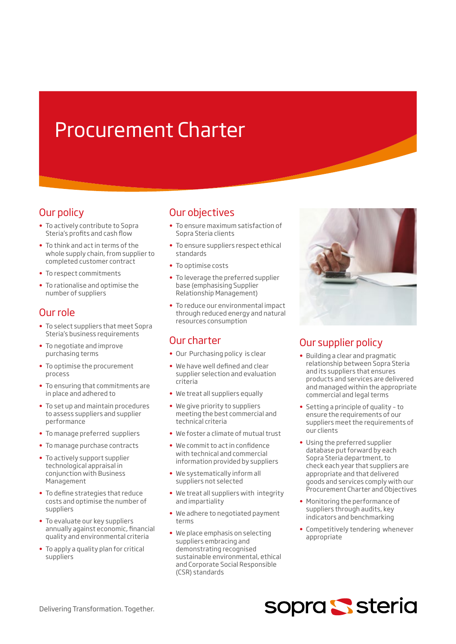# Procurement Charter

# Our policy

- To actively contribute to Sopra Steria's profits and cash flow
- To think and act in terms of the whole supply chain, from supplier to completed customer contract
- To respect commitments
- To rationalise and optimise the number of suppliers

# Our role

- To select suppliers that meet Sopra Steria's business requirements
- To negotiate and improve purchasing terms
- To optimise the procurement process
- To ensuring that commitments are in place and adhered to
- To set up and maintain procedures to assess suppliers and supplier performance
- To manage preferred suppliers
- To manage purchase contracts
- To actively support supplier technological appraisal in conjunction with Business Management
- To define strategies that reduce costs and optimise the number of suppliers
- To evaluate our key suppliers annually against economic, financial quality and environmental criteria
- To apply a quality plan for critical suppliers

# Our objectives

- To ensure maximum satisfaction of Sopra Steria clients
- To ensure suppliers respect ethical standards
- To optimise costs
- To leverage the preferred supplier base (emphasising Supplier Relationship Management)
- To reduce our environmental impact through reduced energy and natural resources consumption

# Our charter

- Our Purchasing policy is clear
- We have well defined and clear supplier selection and evaluation criteria
- We treat all suppliers equally
- We give priority to suppliers meeting the best commercial and technical criteria
- We foster a climate of mutual trust
- We commit to act in confidence with technical and commercial information provided by suppliers
- We systematically inform all suppliers not selected
- We treat all suppliers with integrity and impartiality
- We adhere to negotiated payment terms
- We place emphasis on selecting suppliers embracing and demonstrating recognised sustainable environmental, ethical and Corporate Social Responsible (CSR) standards



# Our supplier policy

- Building a clear and pragmatic relationship between Sopra Steria and its suppliers that ensures products and services are delivered and managed within the appropriate commercial and legal terms
- Setting a principle of quality to ensure the requirements of our suppliers meet the requirements of our clients
- Using the preferred supplier database put forward by each Sopra Steria department, to check each year that suppliers are appropriate and that delivered goods and services comply with our Procurement Charter and Objectives
- Monitoring the performance of suppliers through audits, key indicators and benchmarking
- Competitively tendering whenever appropriate